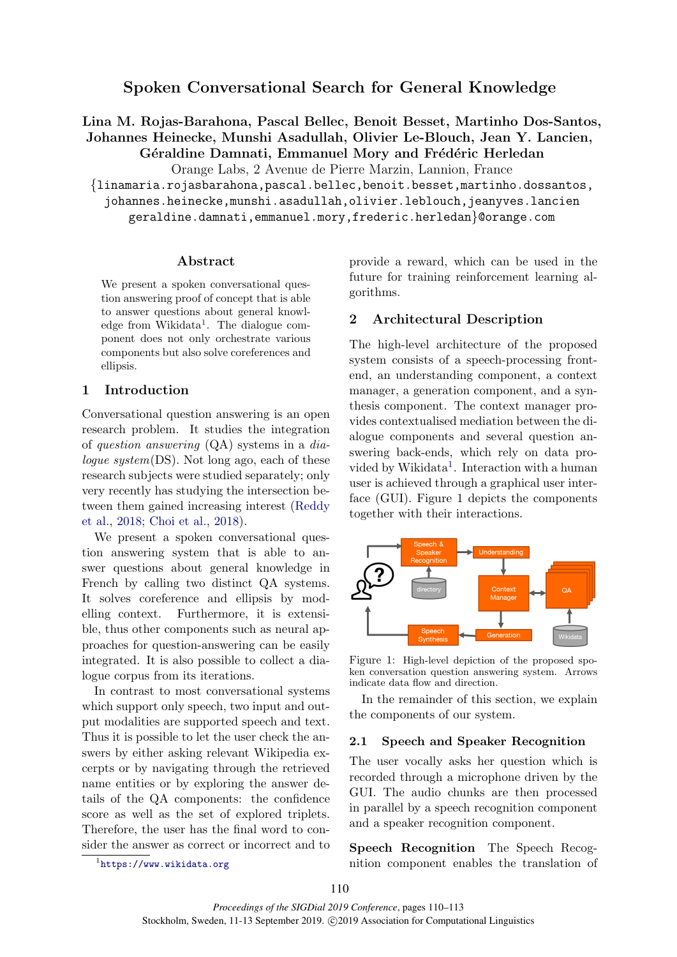Lina M. Rojas-Barahona, Pascal Bellec, Benoit Besset, Martinho Dos-Santos, Johannes Heinecke, Munshi Asadullah, Olivier Le-Blouch, Jean Y. Lancien,

Géraldine Damnati, Emmanuel Mory and Frédéric Herledan

Orange Labs, 2 Avenue de Pierre Marzin, Lannion, France

{linamaria.rojasbarahona,pascal.bellec,benoit.besset,martinho.dossantos,

johannes.heinecke,munshi.asadullah,olivier.leblouch,jeanyves.lancien geraldine.damnati,emmanuel.mory,frederic.herledan}@orange.com

### Abstract

We present a spoken conversational question answering proof of concept that is able to answer questions about general knowl-edge from Wikidata<sup>[1](#page-0-0)</sup>. The dialogue component does not only orchestrate various components but also solve coreferences and ellipsis.

# 1 Introduction

Conversational question answering is an open research problem. It studies the integration of question answering (QA) systems in a dialogue system(DS). Not long ago, each of these research subjects were studied separately; only very recently has studying the intersection between them gained increasing interest [\(Reddy](#page-3-0) [et al.,](#page-3-0) [2018;](#page-3-0) [Choi et al.,](#page-3-1) [2018\)](#page-3-1).

We present a spoken conversational question answering system that is able to answer questions about general knowledge in French by calling two distinct QA systems. It solves coreference and ellipsis by modelling context. Furthermore, it is extensible, thus other components such as neural approaches for question-answering can be easily integrated. It is also possible to collect a dialogue corpus from its iterations.

In contrast to most conversational systems which support only speech, two input and output modalities are supported speech and text. Thus it is possible to let the user check the answers by either asking relevant Wikipedia excerpts or by navigating through the retrieved name entities or by exploring the answer details of the QA components: the confidence score as well as the set of explored triplets. Therefore, the user has the final word to consider the answer as correct or incorrect and to

<span id="page-0-0"></span>1 <https://www.wikidata.org>

provide a reward, which can be used in the future for training reinforcement learning algorithms.

## 2 Architectural Description

The high-level architecture of the proposed system consists of a speech-processing frontend, an understanding component, a context manager, a generation component, and a synthesis component. The context manager provides contextualised mediation between the dialogue components and several question answering back-ends, which rely on data pro-vided by Wikidata<sup>[1](#page-0-0)</sup>. Interaction with a human user is achieved through a graphical user interface (GUI). Figure 1 depicts the components together with their interactions.



Figure 1: High-level depiction of the proposed spoken conversation question answering system. Arrows indicate data flow and direction.

In the remainder of this section, we explain the components of our system.

## 2.1 Speech and Speaker Recognition

The user vocally asks her question which is recorded through a microphone driven by the GUI. The audio chunks are then processed in parallel by a speech recognition component and a speaker recognition component.

Speech Recognition The Speech Recognition component enables the translation of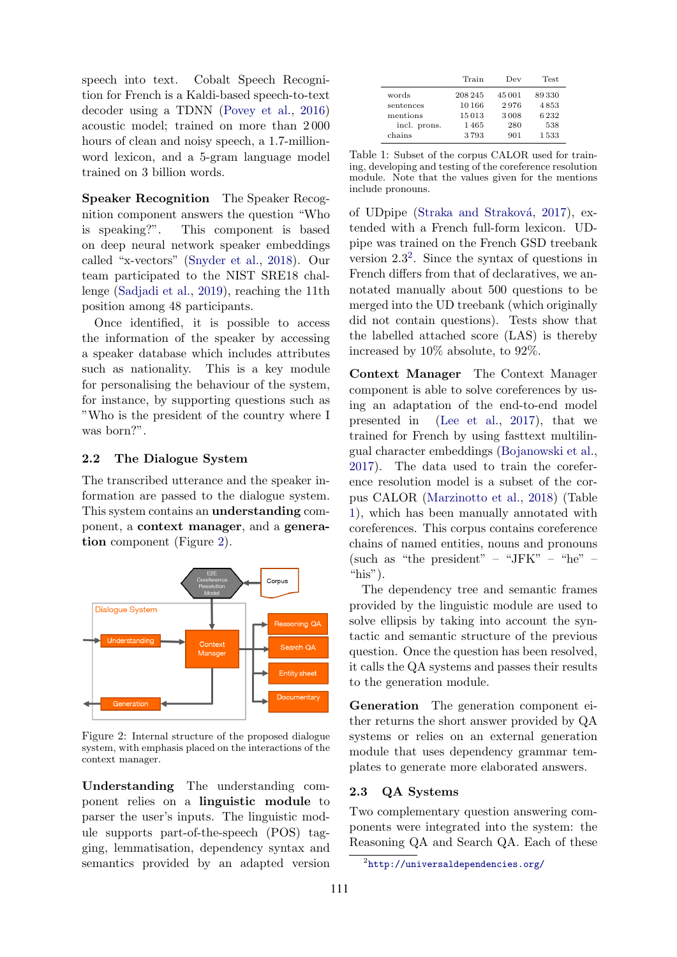speech into text. Cobalt Speech Recognition for French is a Kaldi-based speech-to-text decoder using a TDNN [\(Povey et al.,](#page-3-2) [2016\)](#page-3-2) acoustic model; trained on more than 2 000 hours of clean and noisy speech, a 1.7-millionword lexicon, and a 5-gram language model trained on 3 billion words.

Speaker Recognition The Speaker Recognition component answers the question "Who is speaking?". This component is based on deep neural network speaker embeddings called "x-vectors" [\(Snyder et al.,](#page-3-3) [2018\)](#page-3-3). Our team participated to the NIST SRE18 challenge [\(Sadjadi et al.,](#page-3-4) [2019\)](#page-3-4), reaching the 11th position among 48 participants.

Once identified, it is possible to access the information of the speaker by accessing a speaker database which includes attributes such as nationality. This is a key module for personalising the behaviour of the system, for instance, by supporting questions such as "Who is the president of the country where I was born?".

## 2.2 The Dialogue System

The transcribed utterance and the speaker information are passed to the dialogue system. This system contains an understanding component, a context manager, and a generation component (Figure [2\)](#page-1-0).

<span id="page-1-0"></span>

Figure 2: Internal structure of the proposed dialogue system, with emphasis placed on the interactions of the context manager.

Understanding The understanding component relies on a linguistic module to parser the user's inputs. The linguistic module supports part-of-the-speech (POS) tagging, lemmatisation, dependency syntax and semantics provided by an adapted version

<span id="page-1-2"></span>

|              | Train   | Dev    | Test  |
|--------------|---------|--------|-------|
| words        | 208 245 | 45 001 | 89330 |
| sentences    | 10166   | 2976   | 4853  |
| mentions     | 15013   | 3008   | 6232  |
| incl. prons. | 1465    | 280    | 538   |
| chains       | 3793    | 901    | 1533  |

Table 1: Subset of the corpus CALOR used for training, developing and testing of the coreference resolution module. Note that the values given for the mentions include pronouns.

of UDpipe (Straka and Straková, [2017\)](#page-3-5), extended with a French full-form lexicon. UDpipe was trained on the French GSD treebank version  $2.3^2$  $2.3^2$ . Since the syntax of questions in French differs from that of declaratives, we annotated manually about 500 questions to be merged into the UD treebank (which originally did not contain questions). Tests show that the labelled attached score (LAS) is thereby increased by 10% absolute, to 92%.

Context Manager The Context Manager component is able to solve coreferences by using an adaptation of the end-to-end model presented in [\(Lee et al.,](#page-3-6) [2017\)](#page-3-6), that we trained for French by using fasttext multilingual character embeddings [\(Bojanowski et al.,](#page-3-7) [2017\)](#page-3-7). The data used to train the coreference resolution model is a subset of the corpus CALOR [\(Marzinotto et al.,](#page-3-8) [2018\)](#page-3-8) (Table [1\)](#page-1-2), which has been manually annotated with coreferences. This corpus contains coreference chains of named entities, nouns and pronouns (such as "the president" – "JFK" – "he" – "his").

The dependency tree and semantic frames provided by the linguistic module are used to solve ellipsis by taking into account the syntactic and semantic structure of the previous question. Once the question has been resolved, it calls the QA systems and passes their results to the generation module.

Generation The generation component either returns the short answer provided by QA systems or relies on an external generation module that uses dependency grammar templates to generate more elaborated answers.

## 2.3 QA Systems

Two complementary question answering components were integrated into the system: the Reasoning QA and Search QA. Each of these

<span id="page-1-1"></span><sup>2</sup> <http://universaldependencies.org/>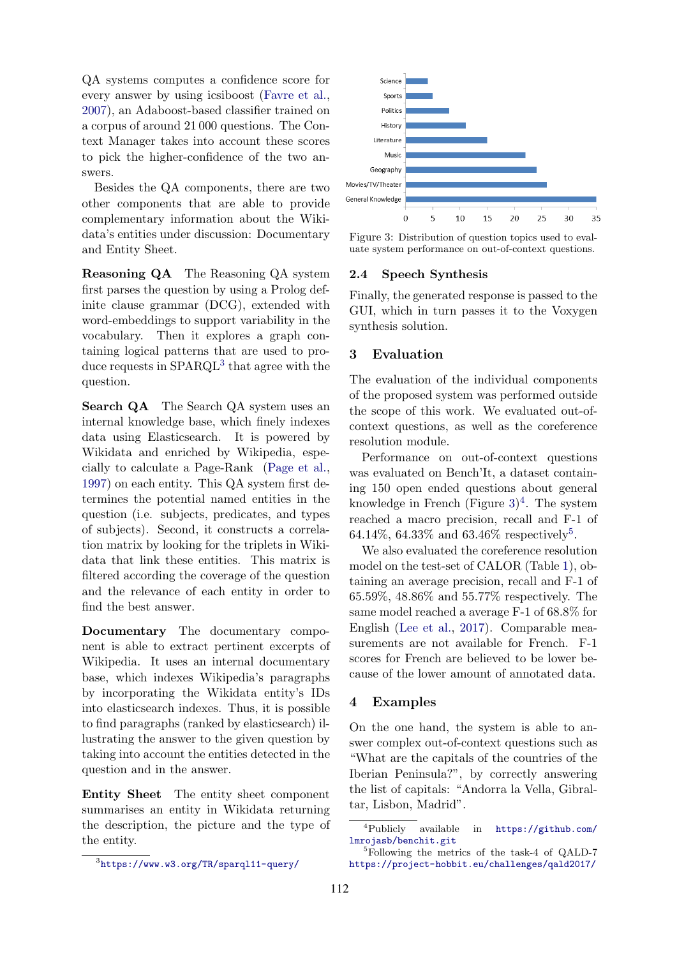QA systems computes a confidence score for every answer by using icsiboost [\(Favre et al.,](#page-3-9) [2007\)](#page-3-9), an Adaboost-based classifier trained on a corpus of around 21 000 questions. The Context Manager takes into account these scores to pick the higher-confidence of the two answers.

Besides the QA components, there are two other components that are able to provide complementary information about the Wikidata's entities under discussion: Documentary and Entity Sheet.

Reasoning QA The Reasoning QA system first parses the question by using a Prolog definite clause grammar (DCG), extended with word-embeddings to support variability in the vocabulary. Then it explores a graph containing logical patterns that are used to produce requests in  $SPARQL^3$  $SPARQL^3$  that agree with the question.

Search QA The Search QA system uses an internal knowledge base, which finely indexes data using Elasticsearch. It is powered by Wikidata and enriched by Wikipedia, especially to calculate a Page-Rank [\(Page et al.,](#page-3-10) [1997\)](#page-3-10) on each entity. This QA system first determines the potential named entities in the question (i.e. subjects, predicates, and types of subjects). Second, it constructs a correlation matrix by looking for the triplets in Wikidata that link these entities. This matrix is filtered according the coverage of the question and the relevance of each entity in order to find the best answer.

Documentary The documentary component is able to extract pertinent excerpts of Wikipedia. It uses an internal documentary base, which indexes Wikipedia's paragraphs by incorporating the Wikidata entity's IDs into elasticsearch indexes. Thus, it is possible to find paragraphs (ranked by elasticsearch) illustrating the answer to the given question by taking into account the entities detected in the question and in the answer.

Entity Sheet The entity sheet component summarises an entity in Wikidata returning the description, the picture and the type of the entity.

<span id="page-2-1"></span>

Figure 3: Distribution of question topics used to evaluate system performance on out-of-context questions.

#### 2.4 Speech Synthesis

Finally, the generated response is passed to the GUI, which in turn passes it to the Voxygen synthesis solution.

## 3 Evaluation

The evaluation of the individual components of the proposed system was performed outside the scope of this work. We evaluated out-ofcontext questions, as well as the coreference resolution module.

Performance on out-of-context questions was evaluated on Bench'It, a dataset containing 150 open ended questions about general knowledge in French (Figure  $3)^4$  $3)^4$  $3)^4$ . The system reached a macro precision, recall and F-1 of 64.14\%, 64.33\% and 63.46\% respectively<sup>[5](#page-2-3)</sup>.

We also evaluated the coreference resolution model on the test-set of CALOR (Table [1\)](#page-1-2), obtaining an average precision, recall and F-1 of 65.59%, 48.86% and 55.77% respectively. The same model reached a average F-1 of 68.8% for English [\(Lee et al.,](#page-3-6) [2017\)](#page-3-6). Comparable measurements are not available for French. F-1 scores for French are believed to be lower because of the lower amount of annotated data.

## 4 Examples

On the one hand, the system is able to answer complex out-of-context questions such as "What are the capitals of the countries of the Iberian Peninsula?", by correctly answering the list of capitals: "Andorra la Vella, Gibraltar, Lisbon, Madrid".

<span id="page-2-0"></span><sup>3</sup> <https://www.w3.org/TR/sparql11-query/>

<span id="page-2-2"></span><sup>4</sup>Publicly available in [https://github.com/](https://github.com/lmrojasb/benchit.git) [lmrojasb/benchit.git](https://github.com/lmrojasb/benchit.git)

<span id="page-2-3"></span><sup>5</sup>Following the metrics of the task-4 of QALD-7 <https://project-hobbit.eu/challenges/qald2017/>